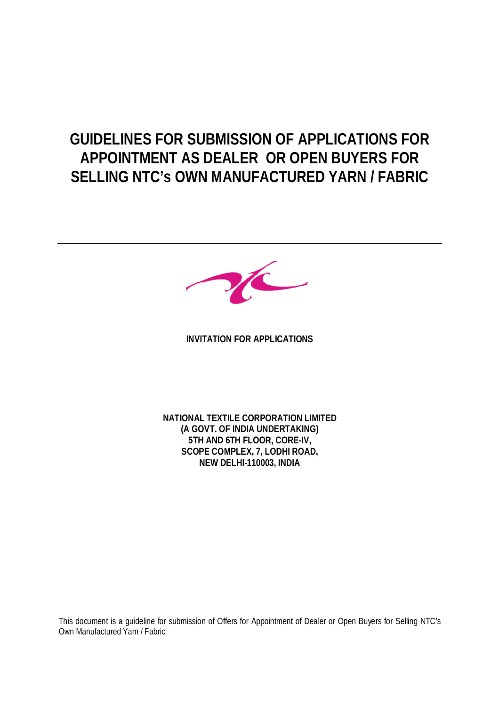# **GUIDELINES FOR SUBMISSION OF APPLICATIONS FOR APPOINTMENT AS DEALER OR OPEN BUYERS FOR SELLING NTC's OWN MANUFACTURED YARN / FABRIC**



**INVITATION FOR APPLICATIONS**

**NATIONAL TEXTILE CORPORATION LIMITED (A GOVT. OF INDIA UNDERTAKING) 5TH AND 6TH FLOOR, CORE-IV, SCOPE COMPLEX, 7, LODHI ROAD, NEW DELHI-110003, INDIA**

This document is a guideline for submission of Offers for Appointment of Dealer or Open Buyers for Selling NTC's Own Manufactured Yarn / Fabric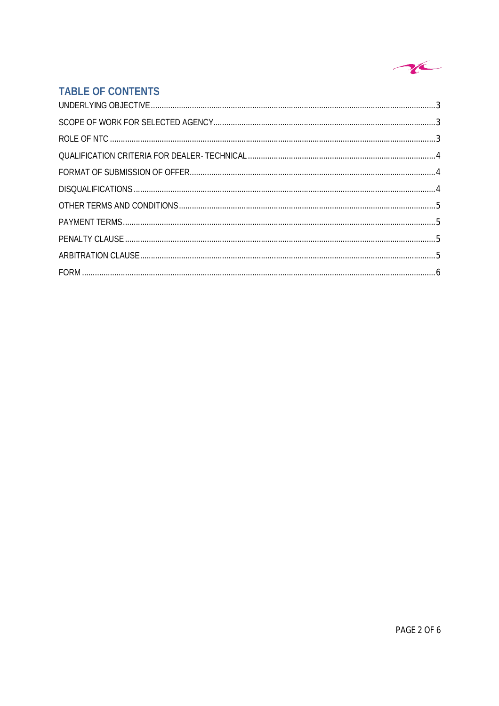

# **TABLE OF CONTENTS**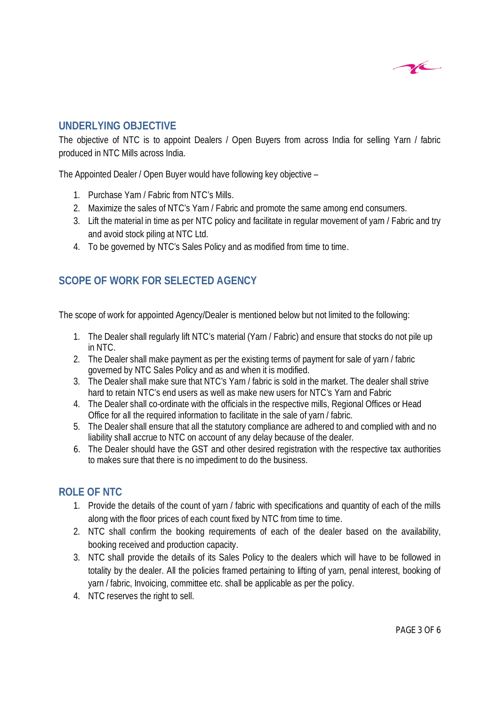

## **UNDERLYING OBJECTIVE**

The objective of NTC is to appoint Dealers / Open Buyers from across India for selling Yarn / fabric produced in NTC Mills across India.

The Appointed Dealer / Open Buyer would have following key objective –

- 1. Purchase Yarn / Fabric from NTC's Mills.
- 2. Maximize the sales of NTC's Yarn / Fabric and promote the same among end consumers.
- 3. Lift the material in time as per NTC policy and facilitate in regular movement of yarn / Fabric and try and avoid stock piling at NTC Ltd.
- 4. To be governed by NTC's Sales Policy and as modified from time to time.

# **SCOPE OF WORK FOR SELECTED AGENCY**

The scope of work for appointed Agency/Dealer is mentioned below but not limited to the following:

- 1. The Dealer shall regularly lift NTC's material (Yarn / Fabric) and ensure that stocks do not pile up in NTC.
- 2. The Dealer shall make payment as per the existing terms of payment for sale of yarn / fabric governed by NTC Sales Policy and as and when it is modified.
- 3. The Dealer shall make sure that NTC's Yarn / fabric is sold in the market. The dealer shall strive hard to retain NTC's end users as well as make new users for NTC's Yarn and Fabric
- 4. The Dealer shall co-ordinate with the officials in the respective mills, Regional Offices or Head Office for all the required information to facilitate in the sale of yarn / fabric.
- 5. The Dealer shall ensure that all the statutory compliance are adhered to and complied with and no liability shall accrue to NTC on account of any delay because of the dealer.
- 6. The Dealer should have the GST and other desired registration with the respective tax authorities to makes sure that there is no impediment to do the business.

# **ROLE OF NTC**

- 1. Provide the details of the count of yarn / fabric with specifications and quantity of each of the mills along with the floor prices of each count fixed by NTC from time to time.
- 2. NTC shall confirm the booking requirements of each of the dealer based on the availability, booking received and production capacity.
- 3. NTC shall provide the details of its Sales Policy to the dealers which will have to be followed in totality by the dealer. All the policies framed pertaining to lifting of yarn, penal interest, booking of yarn / fabric, Invoicing, committee etc. shall be applicable as per the policy.
- 4. NTC reserves the right to sell.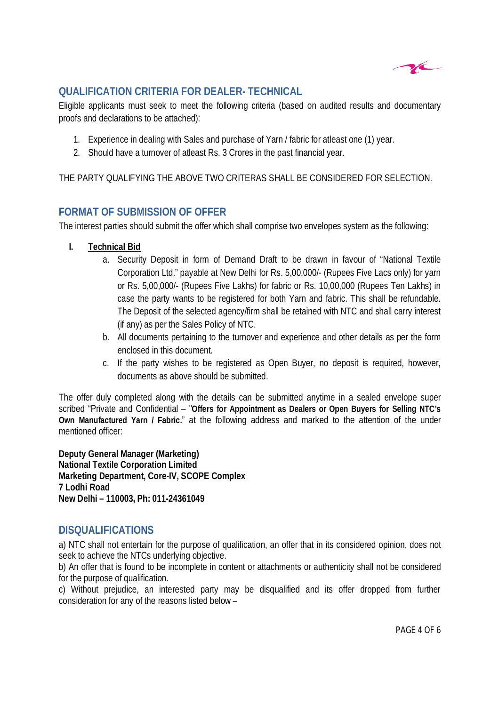

# **QUALIFICATION CRITERIA FOR DEALER- TECHNICAL**

Eligible applicants must seek to meet the following criteria (based on audited results and documentary proofs and declarations to be attached):

- 1. Experience in dealing with Sales and purchase of Yarn / fabric for atleast one (1) year.
- 2. Should have a turnover of atleast Rs. 3 Crores in the past financial year.

THE PARTY QUALIFYING THE ABOVE TWO CRITERAS SHALL BE CONSIDERED FOR SELECTION.

#### **FORMAT OF SUBMISSION OF OFFER**

The interest parties should submit the offer which shall comprise two envelopes system as the following:

#### **I. Technical Bid**

- a. Security Deposit in form of Demand Draft to be drawn in favour of "National Textile Corporation Ltd." payable at New Delhi for Rs. 5,00,000/- (Rupees Five Lacs only) for yarn or Rs. 5,00,000/- (Rupees Five Lakhs) for fabric or Rs. 10,00,000 (Rupees Ten Lakhs) in case the party wants to be registered for both Yarn and fabric. This shall be refundable. The Deposit of the selected agency/firm shall be retained with NTC and shall carry interest (if any) as per the Sales Policy of NTC.
- b. All documents pertaining to the turnover and experience and other details as per the form enclosed in this document.
- c. If the party wishes to be registered as Open Buyer, no deposit is required, however, documents as above should be submitted.

The offer duly completed along with the details can be submitted anytime in a sealed envelope super scribed "Private and Confidential – "**Offers for Appointment as Dealers or Open Buyers for Selling NTC's Own Manufactured Yarn / Fabric.**" at the following address and marked to the attention of the under mentioned officer:

**Deputy General Manager (Marketing) National Textile Corporation Limited Marketing Department, Core-IV, SCOPE Complex 7 Lodhi Road New Delhi – 110003, Ph: 011-24361049**

#### **DISQUALIFICATIONS**

a) NTC shall not entertain for the purpose of qualification, an offer that in its considered opinion, does not seek to achieve the NTCs underlying objective.

b) An offer that is found to be incomplete in content or attachments or authenticity shall not be considered for the purpose of qualification.

c) Without prejudice, an interested party may be disqualified and its offer dropped from further consideration for any of the reasons listed below –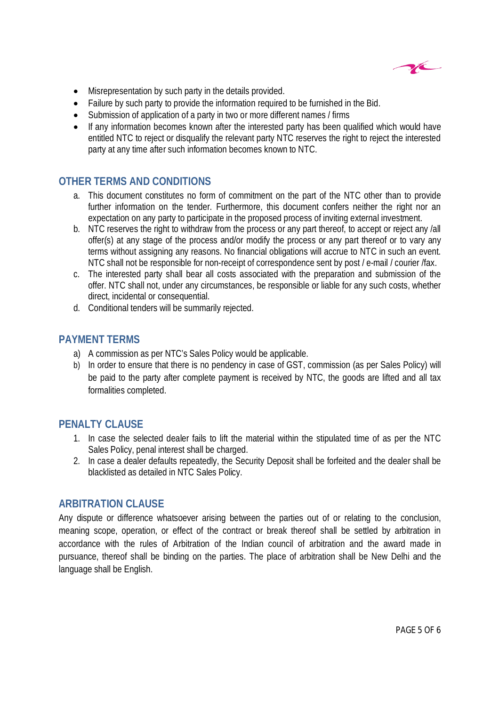

- Misrepresentation by such party in the details provided.
- Failure by such party to provide the information required to be furnished in the Bid.
- Submission of application of a party in two or more different names / firms
- If any information becomes known after the interested party has been qualified which would have entitled NTC to reject or disqualify the relevant party NTC reserves the right to reject the interested party at any time after such information becomes known to NTC.

### **OTHER TERMS AND CONDITIONS**

- a. This document constitutes no form of commitment on the part of the NTC other than to provide further information on the tender. Furthermore, this document confers neither the right nor an expectation on any party to participate in the proposed process of inviting external investment.
- b. NTC reserves the right to withdraw from the process or any part thereof, to accept or reject any /all offer(s) at any stage of the process and/or modify the process or any part thereof or to vary any terms without assigning any reasons. No financial obligations will accrue to NTC in such an event. NTC shall not be responsible for non-receipt of correspondence sent by post / e-mail / courier /fax.
- c. The interested party shall bear all costs associated with the preparation and submission of the offer. NTC shall not, under any circumstances, be responsible or liable for any such costs, whether direct, incidental or consequential.
- d. Conditional tenders will be summarily rejected.

#### **PAYMENT TERMS**

- a) A commission as per NTC's Sales Policy would be applicable.
- b) In order to ensure that there is no pendency in case of GST, commission (as per Sales Policy) will be paid to the party after complete payment is received by NTC, the goods are lifted and all tax formalities completed.

#### **PENALTY CLAUSE**

- 1. In case the selected dealer fails to lift the material within the stipulated time of as per the NTC Sales Policy, penal interest shall be charged.
- 2. In case a dealer defaults repeatedly, the Security Deposit shall be forfeited and the dealer shall be blacklisted as detailed in NTC Sales Policy.

#### **ARBITRATION CLAUSE**

Any dispute or difference whatsoever arising between the parties out of or relating to the conclusion, meaning scope, operation, or effect of the contract or break thereof shall be settled by arbitration in accordance with the rules of Arbitration of the Indian council of arbitration and the award made in pursuance, thereof shall be binding on the parties. The place of arbitration shall be New Delhi and the language shall be English.